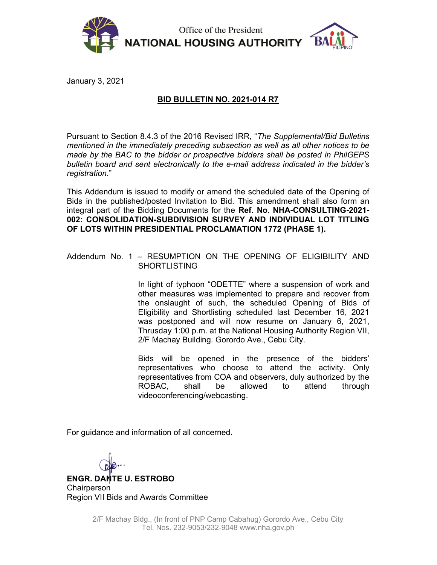

Office of the President **NATIONAL HOUSING AUTHORITY** 



January 3, 2021

## BID BULLETIN NO. 2021-014 R7

Pursuant to Section 8.4.3 of the 2016 Revised IRR, "The Supplemental/Bid Bulletins mentioned in the immediately preceding subsection as well as all other notices to be made by the BAC to the bidder or prospective bidders shall be posted in PhilGEPS bulletin board and sent electronically to the e-mail address indicated in the bidder's registration."

This Addendum is issued to modify or amend the scheduled date of the Opening of Bids in the published/posted Invitation to Bid. This amendment shall also form an integral part of the Bidding Documents for the Ref. No. NHA-CONSULTING-2021- 002: CONSOLIDATION-SUBDIVISION SURVEY AND INDIVIDUAL LOT TITLING OF LOTS WITHIN PRESIDENTIAL PROCLAMATION 1772 (PHASE 1).

## Addendum No. 1 – RESUMPTION ON THE OPENING OF ELIGIBILITY AND SHORTLISTING

In light of typhoon "ODETTE" where a suspension of work and other measures was implemented to prepare and recover from the onslaught of such, the scheduled Opening of Bids of Eligibility and Shortlisting scheduled last December 16, 2021 was postponed and will now resume on January 6, 2021, Thrusday 1:00 p.m. at the National Housing Authority Region VII, 2/F Machay Building. Gorordo Ave., Cebu City.

Bids will be opened in the presence of the bidders' representatives who choose to attend the activity. Only representatives from COA and observers, duly authorized by the ROBAC, shall be allowed to attend through videoconferencing/webcasting.

For guidance and information of all concerned.

ENGR. DANTE U. ESTROBO **Chairperson** Region VII Bids and Awards Committee